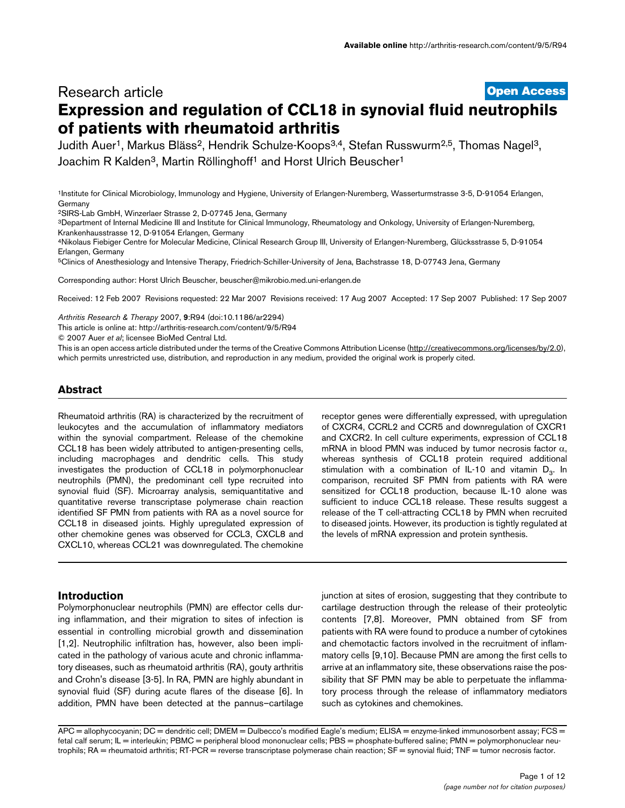# **[Open Access](http://www.biomedcentral.com/info/about/charter/)** Research article **Expression and regulation of CCL18 in synovial fluid neutrophils of patients with rheumatoid arthritis**

Judith Auer<sup>1</sup>, Markus Bläss<sup>2</sup>, Hendrik Schulze-Koops<sup>3,4</sup>, Stefan Russwurm<sup>2,5</sup>, Thomas Nagel<sup>3</sup>, Joachim R Kalden<sup>3</sup>, Martin Röllinghoff<sup>1</sup> and Horst Ulrich Beuscher<sup>1</sup>

1Institute for Clinical Microbiology, Immunology and Hygiene, University of Erlangen-Nuremberg, Wasserturmstrasse 3-5, D-91054 Erlangen, Germany

2SIRS-Lab GmbH, Winzerlaer Strasse 2, D-07745 Jena, Germany

3Department of Internal Medicine III and Institute for Clinical Immunology, Rheumatology and Onkology, University of Erlangen-Nuremberg, Krankenhausstrasse 12, D-91054 Erlangen, Germany

4Nikolaus Fiebiger Centre for Molecular Medicine, Clinical Research Group III, University of Erlangen-Nuremberg, Glücksstrasse 5, D-91054 Erlangen, Germany

5Clinics of Anesthesiology and Intensive Therapy, Friedrich-Schiller-University of Jena, Bachstrasse 18, D-07743 Jena, Germany

Corresponding author: Horst Ulrich Beuscher, beuscher@mikrobio.med.uni-erlangen.de

Received: 12 Feb 2007 Revisions requested: 22 Mar 2007 Revisions received: 17 Aug 2007 Accepted: 17 Sep 2007 Published: 17 Sep 2007

*Arthritis Research & Therapy* 2007, **9**:R94 (doi:10.1186/ar2294)

[This article is online at: http://arthritis-research.com/content/9/5/R94](http://arthritis-research.com/content/9/5/R94)

© 2007 Auer *et al*; licensee BioMed Central Ltd.

This is an open access article distributed under the terms of the Creative Commons Attribution License [\(http://creativecommons.org/licenses/by/2.0\)](http://creativecommons.org/licenses/by/2.0), which permits unrestricted use, distribution, and reproduction in any medium, provided the original work is properly cited.

## **Abstract**

Rheumatoid arthritis (RA) is characterized by the recruitment of leukocytes and the accumulation of inflammatory mediators within the synovial compartment. Release of the chemokine CCL18 has been widely attributed to antigen-presenting cells, including macrophages and dendritic cells. This study investigates the production of CCL18 in polymorphonuclear neutrophils (PMN), the predominant cell type recruited into synovial fluid (SF). Microarray analysis, semiquantitative and quantitative reverse transcriptase polymerase chain reaction identified SF PMN from patients with RA as a novel source for CCL18 in diseased joints. Highly upregulated expression of other chemokine genes was observed for CCL3, CXCL8 and CXCL10, whereas CCL21 was downregulated. The chemokine

# **Introduction**

Polymorphonuclear neutrophils (PMN) are effector cells during inflammation, and their migration to sites of infection is essential in controlling microbial growth and dissemination [1,2]. Neutrophilic infiltration has, however, also been implicated in the pathology of various acute and chronic inflammatory diseases, such as rheumatoid arthritis (RA), gouty arthritis and Crohn's disease [3-5]. In RA, PMN are highly abundant in synovial fluid (SF) during acute flares of the disease [6]. In addition, PMN have been detected at the pannus–cartilage

receptor genes were differentially expressed, with upregulation of CXCR4, CCRL2 and CCR5 and downregulation of CXCR1 and CXCR2. In cell culture experiments, expression of CCL18 mRNA in blood PMN was induced by tumor necrosis factor  $\alpha$ , whereas synthesis of CCL18 protein required additional stimulation with a combination of IL-10 and vitamin  $D_3$ . In comparison, recruited SF PMN from patients with RA were sensitized for CCL18 production, because IL-10 alone was sufficient to induce CCL18 release. These results suggest a release of the T cell-attracting CCL18 by PMN when recruited to diseased joints. However, its production is tightly regulated at the levels of mRNA expression and protein synthesis.

junction at sites of erosion, suggesting that they contribute to cartilage destruction through the release of their proteolytic contents [7,8]. Moreover, PMN obtained from SF from patients with RA were found to produce a number of cytokines and chemotactic factors involved in the recruitment of inflammatory cells [9,10]. Because PMN are among the first cells to arrive at an inflammatory site, these observations raise the possibility that SF PMN may be able to perpetuate the inflammatory process through the release of inflammatory mediators such as cytokines and chemokines.

APC = allophycocyanin; DC = dendritic cell; DMEM = Dulbecco's modified Eagle's medium; ELISA = enzyme-linked immunosorbent assay; FCS = fetal calf serum; IL = interleukin; PBMC = peripheral blood mononuclear cells; PBS = phosphate-buffered saline; PMN = polymorphonuclear neutrophils; RA = rheumatoid arthritis; RT-PCR = reverse transcriptase polymerase chain reaction; SF = synovial fluid; TNF = tumor necrosis factor.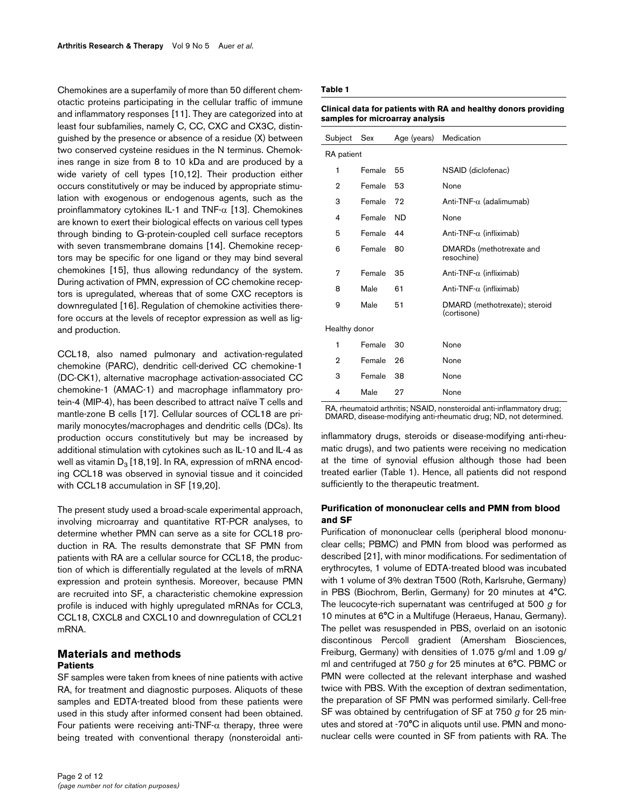Chemokines are a superfamily of more than 50 different chemotactic proteins participating in the cellular traffic of immune and inflammatory responses [11]. They are categorized into at least four subfamilies, namely C, CC, CXC and CX3C, distinguished by the presence or absence of a residue (X) between two conserved cysteine residues in the N terminus. Chemokines range in size from 8 to 10 kDa and are produced by a wide variety of cell types [10,12]. Their production either occurs constitutively or may be induced by appropriate stimulation with exogenous or endogenous agents, such as the proinflammatory cytokines IL-1 and TNF-α [13]. Chemokines are known to exert their biological effects on various cell types through binding to G-protein-coupled cell surface receptors with seven transmembrane domains [14]. Chemokine receptors may be specific for one ligand or they may bind several chemokines [15], thus allowing redundancy of the system. During activation of PMN, expression of CC chemokine receptors is upregulated, whereas that of some CXC receptors is downregulated [16]. Regulation of chemokine activities therefore occurs at the levels of receptor expression as well as ligand production.

CCL18, also named pulmonary and activation-regulated chemokine (PARC), dendritic cell-derived CC chemokine-1 (DC-CK1), alternative macrophage activation-associated CC chemokine-1 (AMAC-1) and macrophage inflammatory protein-4 (MIP-4), has been described to attract naïve T cells and mantle-zone B cells [17]. Cellular sources of CCL18 are primarily monocytes/macrophages and dendritic cells (DCs). Its production occurs constitutively but may be increased by additional stimulation with cytokines such as IL-10 and IL-4 as well as vitamin  $D_3$  [18,19]. In RA, expression of mRNA encoding CCL18 was observed in synovial tissue and it coincided with CCL18 accumulation in SF [19,20].

The present study used a broad-scale experimental approach, involving microarray and quantitative RT-PCR analyses, to determine whether PMN can serve as a site for CCL18 production in RA. The results demonstrate that SF PMN from patients with RA are a cellular source for CCL18, the production of which is differentially regulated at the levels of mRNA expression and protein synthesis. Moreover, because PMN are recruited into SF, a characteristic chemokine expression profile is induced with highly upregulated mRNAs for CCL3, CCL18, CXCL8 and CXCL10 and downregulation of CCL21 mRNA.

## **Materials and methods Patients**

SF samples were taken from knees of nine patients with active RA, for treatment and diagnostic purposes. Aliquots of these samples and EDTA-treated blood from these patients were used in this study after informed consent had been obtained. Four patients were receiving anti-TNF- $α$  therapy, three were being treated with conventional therapy (nonsteroidal anti-

### **Table 1**

| Clinical data for patients with RA and healthy donors providing |
|-----------------------------------------------------------------|
| samples for microarray analysis                                 |

| Subject       | Sex    | Age (years) | Medication                                   |  |
|---------------|--------|-------------|----------------------------------------------|--|
| RA patient    |        |             |                                              |  |
| 1             | Female | 55          | NSAID (diclofenac)                           |  |
| 2             | Female | 53          | None                                         |  |
| 3             | Female | 72          | Anti-TNF- $\alpha$ (adalimumab)              |  |
| 4             | Female | ND.         | None                                         |  |
| 5             | Female | 44          | Anti-TNF- $\alpha$ (infliximab)              |  |
| 6             | Female | 80          | DMARDs (methotrexate and<br>resochine)       |  |
| 7             | Female | 35          | Anti-TNF- $\alpha$ (infliximab)              |  |
| 8             | Male   | 61          | Anti-TNF- $\alpha$ (infliximab)              |  |
| 9             | Male   | 51          | DMARD (methotrexate); steroid<br>(cortisone) |  |
| Healthy donor |        |             |                                              |  |
| 1             | Female | 30          | None                                         |  |
| 2             | Female | 26          | None                                         |  |
| 3             | Female | 38          | None                                         |  |
| 4             | Male   | 27          | None                                         |  |

RA, rheumatoid arthritis; NSAID, nonsteroidal anti-inflammatory drug; DMARD, disease-modifying anti-rheumatic drug; ND, not determined.

inflammatory drugs, steroids or disease-modifying anti-rheumatic drugs), and two patients were receiving no medication at the time of synovial effusion although those had been treated earlier (Table 1). Hence, all patients did not respond sufficiently to the therapeutic treatment.

## **Purification of mononuclear cells and PMN from blood and SF**

Purification of mononuclear cells (peripheral blood mononuclear cells; PBMC) and PMN from blood was performed as described [21], with minor modifications. For sedimentation of erythrocytes, 1 volume of EDTA-treated blood was incubated with 1 volume of 3% dextran T500 (Roth, Karlsruhe, Germany) in PBS (Biochrom, Berlin, Germany) for 20 minutes at 4°C. The leucocyte-rich supernatant was centrifuged at 500 *g* for 10 minutes at 6°C in a Multifuge (Heraeus, Hanau, Germany). The pellet was resuspended in PBS, overlaid on an isotonic discontinous Percoll gradient (Amersham Biosciences, Freiburg, Germany) with densities of 1.075 g/ml and 1.09 g/ ml and centrifuged at 750 *g* for 25 minutes at 6°C. PBMC or PMN were collected at the relevant interphase and washed twice with PBS. With the exception of dextran sedimentation, the preparation of SF PMN was performed similarly. Cell-free SF was obtained by centrifugation of SF at 750 *g* for 25 minutes and stored at -70°C in aliquots until use. PMN and mononuclear cells were counted in SF from patients with RA. The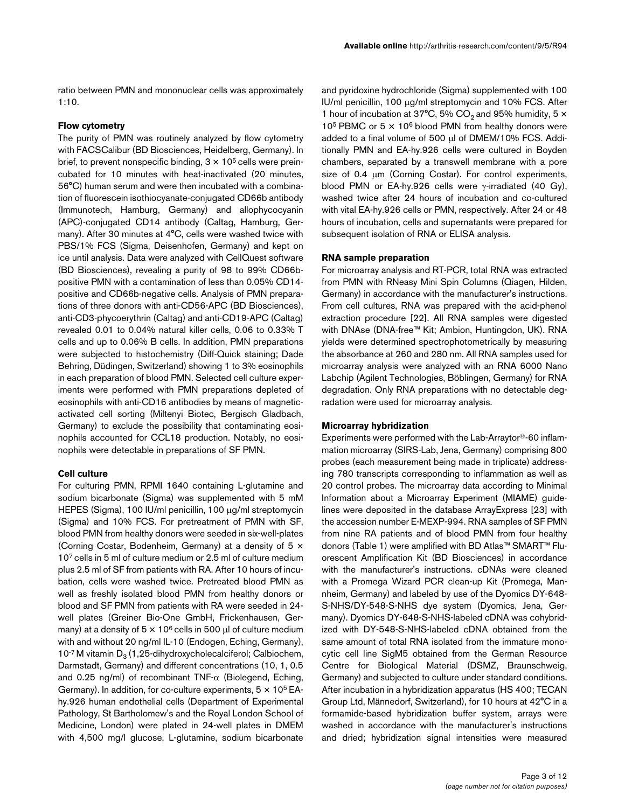ratio between PMN and mononuclear cells was approximately 1:10.

### **Flow cytometry**

The purity of PMN was routinely analyzed by flow cytometry with FACSCalibur (BD Biosciences, Heidelberg, Germany). In brief, to prevent nonspecific binding,  $3 \times 10^5$  cells were preincubated for 10 minutes with heat-inactivated (20 minutes, 56°C) human serum and were then incubated with a combination of fluorescein isothiocyanate-conjugated CD66b antibody (Immunotech, Hamburg, Germany) and allophycocyanin (APC)-conjugated CD14 antibody (Caltag, Hamburg, Germany). After 30 minutes at 4°C, cells were washed twice with PBS/1% FCS (Sigma, Deisenhofen, Germany) and kept on ice until analysis. Data were analyzed with CellQuest software (BD Biosciences), revealing a purity of 98 to 99% CD66bpositive PMN with a contamination of less than 0.05% CD14 positive and CD66b-negative cells. Analysis of PMN preparations of three donors with anti-CD56-APC (BD Biosciences), anti-CD3-phycoerythrin (Caltag) and anti-CD19-APC (Caltag) revealed 0.01 to 0.04% natural killer cells, 0.06 to 0.33% T cells and up to 0.06% B cells. In addition, PMN preparations were subjected to histochemistry (Diff-Quick staining; Dade Behring, Düdingen, Switzerland) showing 1 to 3% eosinophils in each preparation of blood PMN. Selected cell culture experiments were performed with PMN preparations depleted of eosinophils with anti-CD16 antibodies by means of magneticactivated cell sorting (Miltenyi Biotec, Bergisch Gladbach, Germany) to exclude the possibility that contaminating eosinophils accounted for CCL18 production. Notably, no eosinophils were detectable in preparations of SF PMN.

#### **Cell culture**

For culturing PMN, RPMI 1640 containing L-glutamine and sodium bicarbonate (Sigma) was supplemented with 5 mM HEPES (Sigma), 100 IU/ml penicillin, 100 μg/ml streptomycin (Sigma) and 10% FCS. For pretreatment of PMN with SF, blood PMN from healthy donors were seeded in six-well-plates (Corning Costar, Bodenheim, Germany) at a density of 5 × 107 cells in 5 ml of culture medium or 2.5 ml of culture medium plus 2.5 ml of SF from patients with RA. After 10 hours of incubation, cells were washed twice. Pretreated blood PMN as well as freshly isolated blood PMN from healthy donors or blood and SF PMN from patients with RA were seeded in 24 well plates (Greiner Bio-One GmbH, Frickenhausen, Germany) at a density of  $5 \times 10^6$  cells in 500 μl of culture medium with and without 20 ng/ml IL-10 (Endogen, Eching, Germany),  $10^{-7}$  M vitamin D<sub>3</sub> (1,25-dihydroxycholecalciferol; Calbiochem, Darmstadt, Germany) and different concentrations (10, 1, 0.5 and 0.25 ng/ml) of recombinant TNF- $\alpha$  (Biolegend, Eching, Germany). In addition, for co-culture experiments,  $5 \times 10^5$  EAhy.926 human endothelial cells (Department of Experimental Pathology, St Bartholomew's and the Royal London School of Medicine, London) were plated in 24-well plates in DMEM with 4,500 mg/l glucose, L-glutamine, sodium bicarbonate

and pyridoxine hydrochloride (Sigma) supplemented with 100 IU/ml penicillin, 100 μg/ml streptomycin and 10% FCS. After 1 hour of incubation at 37°C, 5% CO<sub>2</sub> and 95% humidity, 5  $\times$ 10<sup>5</sup> PBMC or  $5 \times 10^6$  blood PMN from healthy donors were added to a final volume of 500 μl of DMEM/10% FCS. Additionally PMN and EA-hy.926 cells were cultured in Boyden chambers, separated by a transwell membrane with a pore size of 0.4 μm (Corning Costar). For control experiments, blood PMN or EA-hy.926 cells were γ-irradiated (40 Gy), washed twice after 24 hours of incubation and co-cultured with vital EA-hy.926 cells or PMN, respectively. After 24 or 48 hours of incubation, cells and supernatants were prepared for subsequent isolation of RNA or ELISA analysis.

#### **RNA sample preparation**

For microarray analysis and RT-PCR, total RNA was extracted from PMN with RNeasy Mini Spin Columns (Qiagen, Hilden, Germany) in accordance with the manufacturer's instructions. From cell cultures, RNA was prepared with the acid-phenol extraction procedure [22]. All RNA samples were digested with DNAse (DNA-free™ Kit; Ambion, Huntingdon, UK). RNA yields were determined spectrophotometrically by measuring the absorbance at 260 and 280 nm. All RNA samples used for microarray analysis were analyzed with an RNA 6000 Nano Labchip (Agilent Technologies, Böblingen, Germany) for RNA degradation. Only RNA preparations with no detectable degradation were used for microarray analysis.

#### **Microarray hybridization**

Experiments were performed with the Lab-Arraytor®-60 inflammation microarray (SIRS-Lab, Jena, Germany) comprising 800 probes (each measurement being made in triplicate) addressing 780 transcripts corresponding to inflammation as well as 20 control probes. The microarray data according to Minimal Information about a Microarray Experiment (MIAME) guidelines were deposited in the database ArrayExpress [23] with the accession number E-MEXP-994. RNA samples of SF PMN from nine RA patients and of blood PMN from four healthy donors (Table 1) were amplified with BD Atlas™ SMART™ Fluorescent Amplification Kit (BD Biosciences) in accordance with the manufacturer's instructions. cDNAs were cleaned with a Promega Wizard PCR clean-up Kit (Promega, Mannheim, Germany) and labeled by use of the Dyomics DY-648- S-NHS/DY-548-S-NHS dye system (Dyomics, Jena, Germany). Dyomics DY-648-S-NHS-labeled cDNA was cohybridized with DY-548-S-NHS-labeled cDNA obtained from the same amount of total RNA isolated from the immature monocytic cell line SigM5 obtained from the German Resource Centre for Biological Material (DSMZ, Braunschweig, Germany) and subjected to culture under standard conditions. After incubation in a hybridization apparatus (HS 400; TECAN Group Ltd, Männedorf, Switzerland), for 10 hours at 42°C in a formamide-based hybridization buffer system, arrays were washed in accordance with the manufacturer's instructions and dried; hybridization signal intensities were measured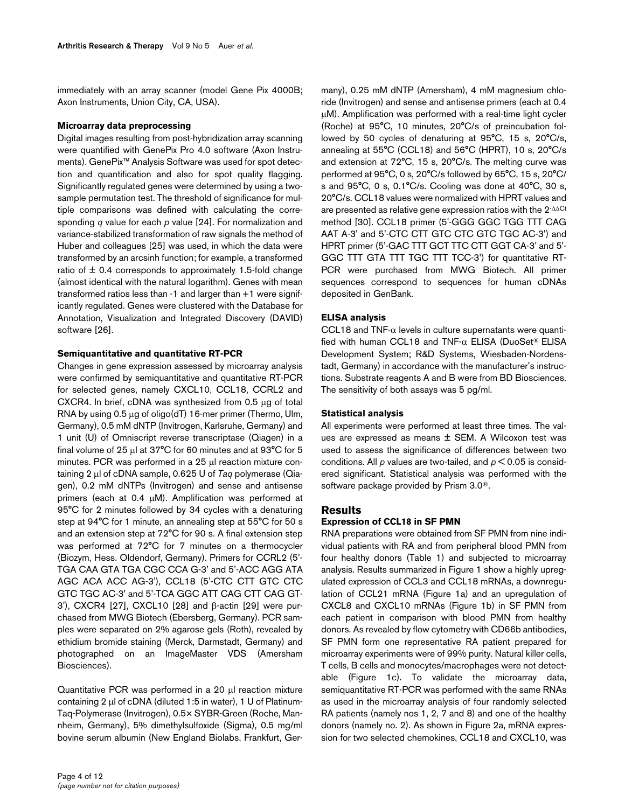immediately with an array scanner (model Gene Pix 4000B; Axon Instruments, Union City, CA, USA).

### **Microarray data preprocessing**

Digital images resulting from post-hybridization array scanning were quantified with GenePix Pro 4.0 software (Axon Instruments). GenePix™ Analysis Software was used for spot detection and quantification and also for spot quality flagging. Significantly regulated genes were determined by using a twosample permutation test. The threshold of significance for multiple comparisons was defined with calculating the corresponding *q* value for each *p* value [24]. For normalization and variance-stabilized transformation of raw signals the method of Huber and colleagues [25] was used, in which the data were transformed by an arcsinh function; for example, a transformed ratio of  $\pm$  0.4 corresponds to approximately 1.5-fold change (almost identical with the natural logarithm). Genes with mean transformed ratios less than -1 and larger than +1 were significantly regulated. Genes were clustered with the Database for Annotation, Visualization and Integrated Discovery (DAVID) software [26].

### **Semiquantitative and quantitative RT-PCR**

Changes in gene expression assessed by microarray analysis were confirmed by semiquantitative and quantitative RT-PCR for selected genes, namely CXCL10, CCL18, CCRL2 and CXCR4. In brief, cDNA was synthesized from 0.5 μg of total RNA by using 0.5 μg of oligo(dT) 16-mer primer (Thermo, Ulm, Germany), 0.5 mM dNTP (Invitrogen, Karlsruhe, Germany) and 1 unit (U) of Omniscript reverse transcriptase (Qiagen) in a final volume of 25 μl at 37°C for 60 minutes and at 93°C for 5 minutes. PCR was performed in a 25 μl reaction mixture containing 2 μl of cDNA sample, 0.625 U of *Taq* polymerase (Qiagen), 0.2 mM dNTPs (Invitrogen) and sense and antisense primers (each at 0.4 μM). Amplification was performed at 95°C for 2 minutes followed by 34 cycles with a denaturing step at 94°C for 1 minute, an annealing step at 55°C for 50 s and an extension step at 72°C for 90 s. A final extension step was performed at 72°C for 7 minutes on a thermocycler (Biozym, Hess. Oldendorf, Germany). Primers for CCRL2 (5'- TGA CAA GTA TGA CGC CCA G-3' and 5'-ACC AGG ATA AGC ACA ACC AG-3'), CCL18 (5'-CTC CTT GTC CTC GTC TGC AC-3' and 5'-TCA GGC ATT CAG CTT CAG GT-3'), CXCR4 [27], CXCL10 [28] and β-actin [29] were purchased from MWG Biotech (Ebersberg, Germany). PCR samples were separated on 2% agarose gels (Roth), revealed by ethidium bromide staining (Merck, Darmstadt, Germany) and photographed on an ImageMaster VDS (Amersham Biosciences).

Quantitative PCR was performed in a 20 μl reaction mixture containing 2 μl of cDNA (diluted 1:5 in water), 1 U of Platinum-Taq-Polymerase (Invitrogen), 0.5× SYBR-Green (Roche, Mannheim, Germany), 5% dimethylsulfoxide (Sigma), 0.5 mg/ml bovine serum albumin (New England Biolabs, Frankfurt, Germany), 0.25 mM dNTP (Amersham), 4 mM magnesium chloride (Invitrogen) and sense and antisense primers (each at 0.4 μM). Amplification was performed with a real-time light cycler (Roche) at 95°C, 10 minutes, 20°C/s of preincubation followed by 50 cycles of denaturing at 95°C, 15 s, 20°C/s, annealing at 55°C (CCL18) and 56°C (HPRT), 10 s, 20°C/s and extension at 72°C, 15 s, 20°C/s. The melting curve was performed at 95°C, 0 s, 20°C/s followed by 65°C, 15 s, 20°C/ s and 95°C, 0 s, 0.1°C/s. Cooling was done at 40°C, 30 s, 20°C/s. CCL18 values were normalized with HPRT values and are presented as relative gene expression ratios with the 2-ΔΔCt method [30]. CCL18 primer (5'-GGG GGC TGG TTT CAG AAT A-3' and 5'-CTC CTT GTC CTC GTC TGC AC-3') and HPRT primer (5'-GAC TTT GCT TTC CTT GGT CA-3' and 5'- GGC TTT GTA TTT TGC TTT TCC-3') for quantitative RT-PCR were purchased from MWG Biotech. All primer sequences correspond to sequences for human cDNAs deposited in GenBank.

## **ELISA analysis**

CCL18 and  $TNF-\alpha$  levels in culture supernatants were quantified with human CCL18 and TNF-α ELISA (DuoSet® ELISA Development System; R&D Systems, Wiesbaden-Nordenstadt, Germany) in accordance with the manufacturer's instructions. Substrate reagents A and B were from BD Biosciences. The sensitivity of both assays was 5 pg/ml.

### **Statistical analysis**

All experiments were performed at least three times. The values are expressed as means ± SEM. A Wilcoxon test was used to assess the significance of differences between two conditions. All *p* values are two-tailed, and *p* < 0.05 is considered significant. Statistical analysis was performed with the software package provided by Prism 3.0®.

### **Results**

### **Expression of CCL18 in SF PMN**

RNA preparations were obtained from SF PMN from nine individual patients with RA and from peripheral blood PMN from four healthy donors (Table 1) and subjected to microarray analysis. Results summarized in Figure 1 show a highly upregulated expression of CCL3 and CCL18 mRNAs, a downregulation of CCL21 mRNA (Figure 1a) and an upregulation of CXCL8 and CXCL10 mRNAs (Figure 1b) in SF PMN from each patient in comparison with blood PMN from healthy donors. As revealed by flow cytometry with CD66b antibodies, SF PMN form one representative RA patient prepared for microarray experiments were of 99% purity. Natural killer cells, T cells, B cells and monocytes/macrophages were not detectable (Figure 1c). To validate the microarray data, semiquantitative RT-PCR was performed with the same RNAs as used in the microarray analysis of four randomly selected RA patients (namely nos 1, 2, 7 and 8) and one of the healthy donors (namely no. 2). As shown in Figure 2a, mRNA expression for two selected chemokines, CCL18 and CXCL10, was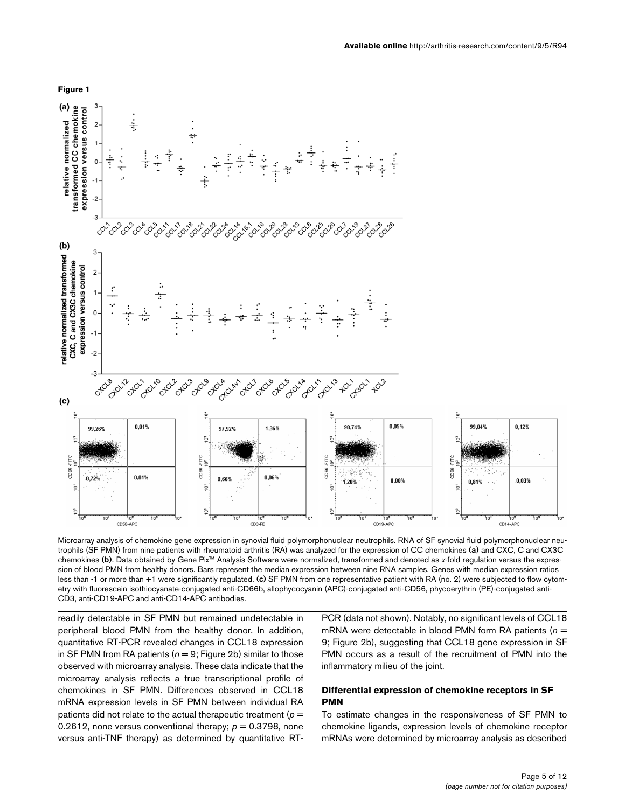

Microarray analysis of chemokine gene expression in synovial fluid polymorphonuclear neutrophils. RNA of SF synovial fluid polymorphonuclear neutrophils (SF PMN) from nine patients with rheumatoid arthritis (RA) was analyzed for the expression of CC chemokines **(a)** and CXC, C and CX3C chemokines **(b)**. Data obtained by Gene Pix™ Analysis Software were normalized, transformed and denoted as *x*-fold regulation versus the expression of blood PMN from healthy donors. Bars represent the median expression between nine RNA samples. Genes with median expression ratios less than -1 or more than +1 were significantly regulated. (c) SF PMN from one representative patient with RA (no. 2) were subjected to flow cytometry with fluorescein isothiocyanate-conjugated anti-CD66b, allophycocyanin (APC)-conjugated anti-CD56, phycoerythrin (PE)-conjugated anti-CD3, anti-CD19-APC and anti-CD14-APC antibodies.

Ίō

10

CD<sub>19-APC</sub>

readily detectable in SF PMN but remained undetectable in peripheral blood PMN from the healthy donor. In addition, quantitative RT-PCR revealed changes in CCL18 expression in SF PMN from RA patients  $(n = 9;$  Figure 2b) similar to those observed with microarray analysis. These data indicate that the microarray analysis reflects a true transcriptional profile of chemokines in SF PMN. Differences observed in CCL18 mRNA expression levels in SF PMN between individual RA patients did not relate to the actual therapeutic treatment (*p* = 0.2612, none versus conventional therapy;  $p = 0.3798$ , none versus anti-TNF therapy) as determined by quantitative RT-

eq.

CD3-PE

믄

Ŧo

CD56-APC

PCR (data not shown). Notably, no significant levels of CCL18 mRNA were detectable in blood PMN form RA patients ( $n =$ 9; Figure 2b), suggesting that CCL18 gene expression in SF PMN occurs as a result of the recruitment of PMN into the inflammatory milieu of the joint.

## **Differential expression of chemokine receptors in SF PMN**

To estimate changes in the responsiveness of SF PMN to chemokine ligands, expression levels of chemokine receptor mRNAs were determined by microarray analysis as described

 $10<sup>2</sup>$ 

CD14-APC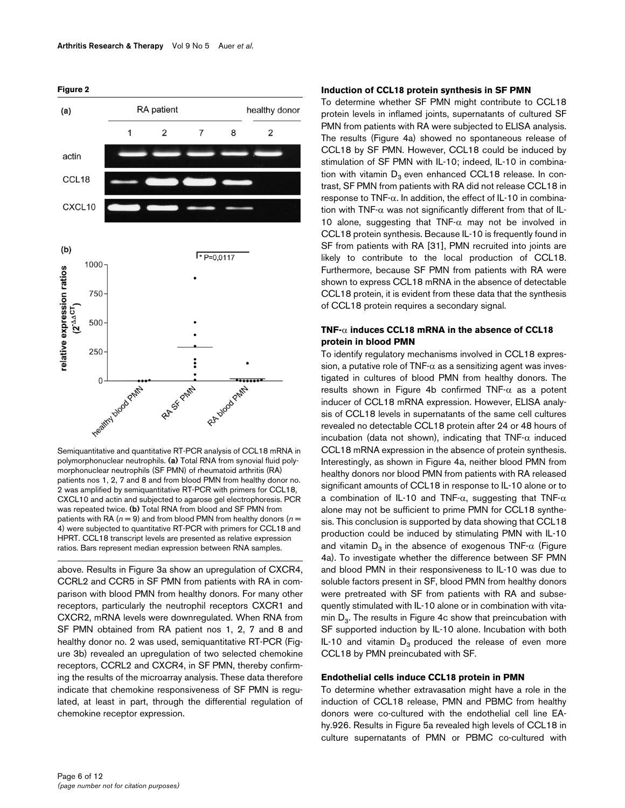**Figure 2**



Semiquantitative and quantitative RT-PCR analysis of CCL18 mRNA in polymorphonuclear neutrophils. **(a)** Total RNA from synovial fluid polymorphonuclear neutrophils (SF PMN) of rheumatoid arthritis (RA) patients nos 1, 2, 7 and 8 and from blood PMN from healthy donor no. 2 was amplified by semiquantitative RT-PCR with primers for CCL18, CXCL10 and actin and subjected to agarose gel electrophoresis. PCR was repeated twice. **(b)** Total RNA from blood and SF PMN from patients with RA ( $n = 9$ ) and from blood PMN from healthy donors ( $n =$ 4) were subjected to quantitative RT-PCR with primers for CCL18 and HPRT. CCL18 transcript levels are presented as relative expression ratios. Bars represent median expression between RNA samples.

above. Results in Figure [3a](#page-6-0) show an upregulation of CXCR4, CCRL2 and CCR5 in SF PMN from patients with RA in comparison with blood PMN from healthy donors. For many other receptors, particularly the neutrophil receptors CXCR1 and CXCR2, mRNA levels were downregulated. When RNA from SF PMN obtained from RA patient nos 1, 2, 7 and 8 and healthy donor no. 2 was used, semiquantitative RT-PCR (Figure [3](#page-6-0)b) revealed an upregulation of two selected chemokine receptors, CCRL2 and CXCR4, in SF PMN, thereby confirming the results of the microarray analysis. These data therefore indicate that chemokine responsiveness of SF PMN is regulated, at least in part, through the differential regulation of chemokine receptor expression.

#### **Induction of CCL18 protein synthesis in SF PMN**

To determine whether SF PMN might contribute to CCL18 protein levels in inflamed joints, supernatants of cultured SF PMN from patients with RA were subjected to ELISA analysis. The results (Figure [4](#page-7-0)a) showed no spontaneous release of CCL18 by SF PMN. However, CCL18 could be induced by stimulation of SF PMN with IL-10; indeed, IL-10 in combination with vitamin  $D_3$  even enhanced CCL18 release. In contrast, SF PMN from patients with RA did not release CCL18 in response to TNF-α. In addition, the effect of IL-10 in combination with TNF- $\alpha$  was not significantly different from that of IL-10 alone, suggesting that TNF- $\alpha$  may not be involved in CCL18 protein synthesis. Because IL-10 is frequently found in SF from patients with RA [31], PMN recruited into joints are likely to contribute to the local production of CCL18. Furthermore, because SF PMN from patients with RA were shown to express CCL18 mRNA in the absence of detectable CCL18 protein, it is evident from these data that the synthesis of CCL18 protein requires a secondary signal.

### **TNF-**α **induces CCL18 mRNA in the absence of CCL18 protein in blood PMN**

To identify regulatory mechanisms involved in CCL18 expression, a putative role of TNF- $\alpha$  as a sensitizing agent was investigated in cultures of blood PMN from healthy donors. The results shown in Figure [4b](#page-7-0) confirmed TNF- $\alpha$  as a potent inducer of CCL18 mRNA expression. However, ELISA analysis of CCL18 levels in supernatants of the same cell cultures revealed no detectable CCL18 protein after 24 or 48 hours of incubation (data not shown), indicating that  $TNF-\alpha$  induced CCL18 mRNA expression in the absence of protein synthesis. Interestingly, as shown in Figure [4](#page-7-0)a, neither blood PMN from healthy donors nor blood PMN from patients with RA released significant amounts of CCL18 in response to IL-10 alone or to a combination of IL-10 and TNF-α, suggesting that TNF- $α$ alone may not be sufficient to prime PMN for CCL18 synthesis. This conclusion is supported by data showing that CCL18 production could be induced by stimulating PMN with IL-10 and vitamin  $D_3$  in the absence of exogenous TNF- $\alpha$  (Figure [4](#page-7-0)a). To investigate whether the difference between SF PMN and blood PMN in their responsiveness to IL-10 was due to soluble factors present in SF, blood PMN from healthy donors were pretreated with SF from patients with RA and subsequently stimulated with IL-10 alone or in combination with vitamin  $D_3$ . The results in Figure [4](#page-7-0)c show that preincubation with SF supported induction by IL-10 alone. Incubation with both IL-10 and vitamin  $D_3$  produced the release of even more CCL18 by PMN preincubated with SF.

### **Endothelial cells induce CCL18 protein in PMN**

To determine whether extravasation might have a role in the induction of CCL18 release, PMN and PBMC from healthy donors were co-cultured with the endothelial cell line EAhy.926. Results in Figure [5](#page-8-0)a revealed high levels of CCL18 in culture supernatants of PMN or PBMC co-cultured with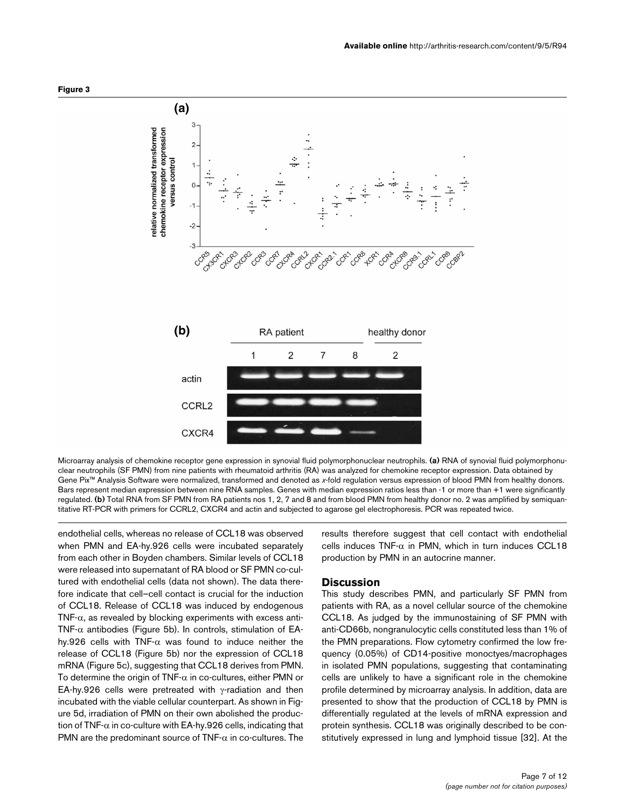

<span id="page-6-0"></span>

Microarray analysis of chemokine receptor gene expression in synovial fluid polymorphonuclear neutrophils. (a) RNA of synovial fluid polymorphonuclear neutrophils (SF PMN) from nine patients with rheumatoid arthritis (RA) was analyzed for chemokine receptor expression. Data obtained by Gene Pix<sup>™</sup> Analysis Software were normalized, transformed and denoted as x-fold regulation versus expression of blood PMN from healthy donors. Bars represent median expression between nine RNA samples. Genes with median expression ratios less than -1 or more than +1 were significantly regulated. **(b)** Total RNA from SF PMN from RA patients nos 1, 2, 7 and 8 and from blood PMN from healthy donor no. 2 was amplified by semiquantitative RT-PCR with primers for CCRL2, CXCR4 and actin and subjected to agarose gel electrophoresis. PCR was repeated twice.

endothelial cells, whereas no release of CCL18 was observed when PMN and EA-hy.926 cells were incubated separately from each other in Boyden chambers. Similar levels of CCL18 were released into supernatant of RA blood or SF PMN co-cultured with endothelial cells (data not shown). The data therefore indicate that cell–cell contact is crucial for the induction of CCL18. Release of CCL18 was induced by endogenous TNF- $\alpha$ , as revealed by blocking experiments with excess anti-TNF- $\alpha$  antibodies (Figure [5b](#page-8-0)). In controls, stimulation of EAhy.926 cells with TNF- $\alpha$  was found to induce neither the release of CCL18 (Figure [5](#page-8-0)b) nor the expression of CCL18 mRNA (Figure [5c](#page-8-0)), suggesting that CCL18 derives from PMN. To determine the origin of TNF- $\alpha$  in co-cultures, either PMN or EA-hy.926 cells were pretreated with γ-radiation and then incubated with the viable cellular counterpart. As shown in Figure [5](#page-8-0)d, irradiation of PMN on their own abolished the production of TNF- $\alpha$  in co-culture with EA-hy.926 cells, indicating that PMN are the predominant source of  $TNF-\alpha$  in co-cultures. The

results therefore suggest that cell contact with endothelial cells induces  $TNF-\alpha$  in PMN, which in turn induces CCL18 production by PMN in an autocrine manner.

#### **Discussion**

This study describes PMN, and particularly SF PMN from patients with RA, as a novel cellular source of the chemokine CCL18. As judged by the immunostaining of SF PMN with anti-CD66b, nongranulocytic cells constituted less than 1% of the PMN preparations. Flow cytometry confirmed the low frequency (0.05%) of CD14-positive monoctyes/macrophages in isolated PMN populations, suggesting that contaminating cells are unlikely to have a significant role in the chemokine profile determined by microarray analysis. In addition, data are presented to show that the production of CCL18 by PMN is differentially regulated at the levels of mRNA expression and protein synthesis. CCL18 was originally described to be constitutively expressed in lung and lymphoid tissue [32]. At the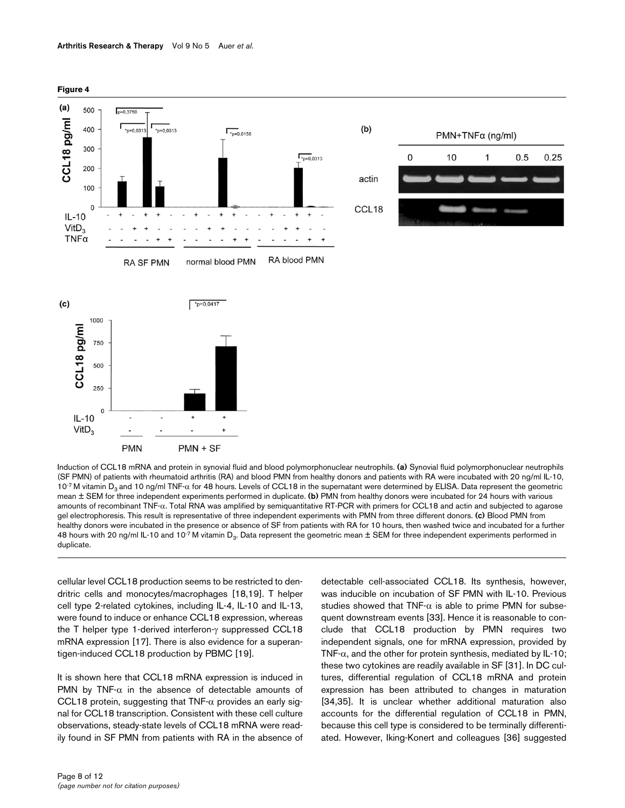<span id="page-7-0"></span>

Induction of CCL18 mRNA and protein in synovial fluid and blood polymorphonuclear neutrophils. (a) Synovial fluid polymorphonuclear neutrophils (SF PMN) of patients with rheumatoid arthritis (RA) and blood PMN from healthy donors and patients with RA were incubated with 20 ng/ml IL-10, 10<sup>-7</sup> M vitamin D<sub>3</sub> and 10 ng/ml TNF-α for 48 hours. Levels of CCL18 in the supernatant were determined by ELISA. Data represent the geometric mean ± SEM for three independent experiments performed in duplicate. **(b)** PMN from healthy donors were incubated for 24 hours with various amounts of recombinant TNF-α. Total RNA was amplified by semiquantitative RT-PCR with primers for CCL18 and actin and subjected to agarose gel electrophoresis. This result is representative of three independent experiments with PMN from three different donors. **(c)** Blood PMN from healthy donors were incubated in the presence or absence of SF from patients with RA for 10 hours, then washed twice and incubated for a further 48 hours with 20 ng/ml IL-10 and 10<sup>-7</sup> M vitamin D<sub>3</sub>. Data represent the geometric mean  $\pm$  SEM for three independent experiments performed in duplicate.

cellular level CCL18 production seems to be restricted to dendritric cells and monocytes/macrophages [18,19]. T helper cell type 2-related cytokines, including IL-4, IL-10 and IL-13, were found to induce or enhance CCL18 expression, whereas the T helper type 1-derived interferon-γ suppressed CCL18 mRNA expression [17]. There is also evidence for a superantigen-induced CCL18 production by PBMC [19].

It is shown here that CCL18 mRNA expression is induced in PMN by TNF- $\alpha$  in the absence of detectable amounts of CCL18 protein, suggesting that  $TNF-\alpha$  provides an early signal for CCL18 transcription. Consistent with these cell culture observations, steady-state levels of CCL18 mRNA were readily found in SF PMN from patients with RA in the absence of detectable cell-associated CCL18. Its synthesis, however, was inducible on incubation of SF PMN with IL-10. Previous studies showed that  $TNF-\alpha$  is able to prime PMN for subsequent downstream events [33]. Hence it is reasonable to conclude that CCL18 production by PMN requires two independent signals, one for mRNA expression, provided by TNF- $\alpha$ , and the other for protein synthesis, mediated by IL-10; these two cytokines are readily available in SF [31]. In DC cultures, differential regulation of CCL18 mRNA and protein expression has been attributed to changes in maturation [34,35]. It is unclear whether additional maturation also accounts for the differential regulation of CCL18 in PMN, because this cell type is considered to be terminally differentiated. However, Iking-Konert and colleagues [36] suggested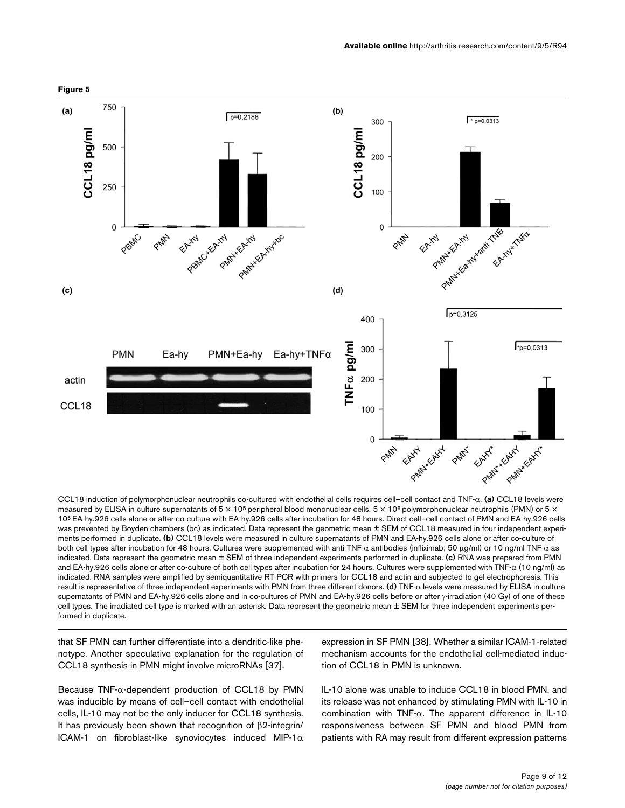<span id="page-8-0"></span>

#### CCL18 induction of polymorphonuclear neutrophils co-cultured with endothelial cells requires cell–cell contact and TNF-α. **(a)** CCL18 levels were measured by ELISA in culture supernatants of  $5 \times 10^5$  peripheral blood mononuclear cells,  $5 \times 10^6$  polymorphonuclear neutrophils (PMN) or  $5 \times$ 105 EA-hy.926 cells alone or after co-culture with EA-hy.926 cells after incubation for 48 hours. Direct cell–cell contact of PMN and EA-hy.926 cells was prevented by Boyden chambers (bc) as indicated. Data represent the geometric mean ± SEM of CCL18 measured in four independent experiments performed in duplicate. **(b)** CCL18 levels were measured in culture supernatants of PMN and EA-hy.926 cells alone or after co-culture of both cell types after incubation for 48 hours. Cultures were supplemented with anti-TNF-α antibodies (infliximab; 50 μg/ml) or 10 ng/ml TNF-α as indicated. Data represent the geometric mean ± SEM of three independent experiments performed in duplicate. **(c)** RNA was prepared from PMN and EA-hy.926 cells alone or after co-culture of both cell types after incubation for 24 hours. Cultures were supplemented with TNF- $\alpha$  (10 ng/ml) as indicated. RNA samples were amplified by semiquantitative RT-PCR with primers for CCL18 and actin and subjected to gel electrophoresis. This result is representative of three independent experiments with PMN from three different donors. **(d)** TNF-α levels were measured by ELISA in culture supernatants of PMN and EA-hy.926 cells alone and in co-cultures of PMN and EA-hy.926 cells before or after γ-irradiation (40 Gy) of one of these cell types. The irradiated cell type is marked with an asterisk. Data represent the geometric mean ± SEM for three independent experiments performed in duplicate.

that SF PMN can further differentiate into a dendritic-like phenotype. Another speculative explanation for the regulation of CCL18 synthesis in PMN might involve microRNAs [37].

Because TNF- $\alpha$ -dependent production of CCL18 by PMN was inducible by means of cell–cell contact with endothelial cells, IL-10 may not be the only inducer for CCL18 synthesis. It has previously been shown that recognition of β2-integrin/ ICAM-1 on fibroblast-like synoviocytes induced MIP-1 $\alpha$ 

expression in SF PMN [38]. Whether a similar ICAM-1-related mechanism accounts for the endothelial cell-mediated induction of CCL18 in PMN is unknown.

IL-10 alone was unable to induce CCL18 in blood PMN, and its release was not enhanced by stimulating PMN with IL-10 in combination with TNF-α. The apparent difference in IL-10 responsiveness between SF PMN and blood PMN from patients with RA may result from different expression patterns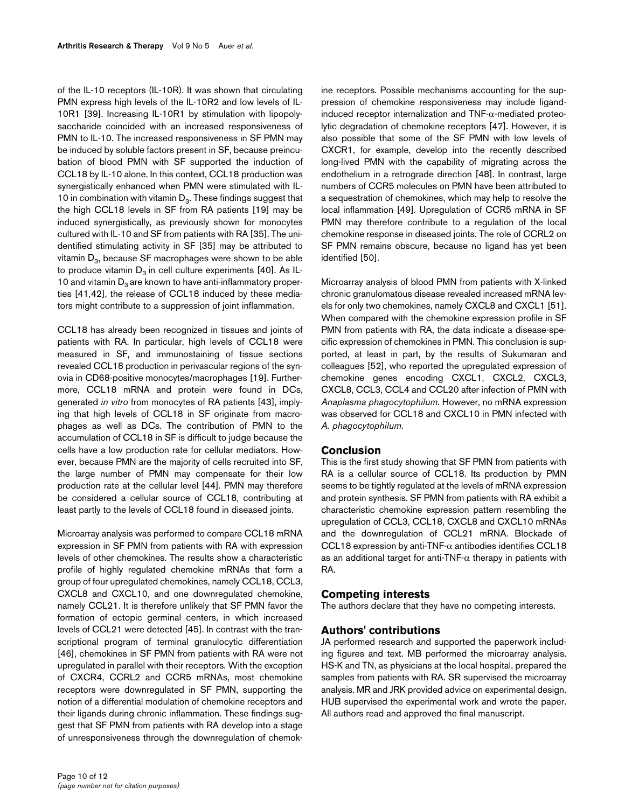of the IL-10 receptors (IL-10R). It was shown that circulating PMN express high levels of the IL-10R2 and low levels of IL-10R1 [39]. Increasing IL-10R1 by stimulation with lipopolysaccharide coincided with an increased responsiveness of PMN to IL-10. The increased responsiveness in SF PMN may be induced by soluble factors present in SF, because preincubation of blood PMN with SF supported the induction of CCL18 by IL-10 alone. In this context, CCL18 production was synergistically enhanced when PMN were stimulated with IL-10 in combination with vitamin  $D_3$ . These findings suggest that the high CCL18 levels in SF from RA patients [19] may be induced synergistically, as previously shown for monocytes cultured with IL-10 and SF from patients with RA [35]. The unidentified stimulating activity in SF [35] may be attributed to vitamin  $D_3$ , because SF macrophages were shown to be able to produce vitamin  $D_3$  in cell culture experiments [40]. As IL-10 and vitamin  $D_3$  are known to have anti-inflammatory properties [41,42], the release of CCL18 induced by these mediators might contribute to a suppression of joint inflammation.

CCL18 has already been recognized in tissues and joints of patients with RA. In particular, high levels of CCL18 were measured in SF, and immunostaining of tissue sections revealed CCL18 production in perivascular regions of the synovia in CD68-positive monocytes/macrophages [19]. Furthermore, CCL18 mRNA and protein were found in DCs, generated *in vitro* from monocytes of RA patients [43], implying that high levels of CCL18 in SF originate from macrophages as well as DCs. The contribution of PMN to the accumulation of CCL18 in SF is difficult to judge because the cells have a low production rate for cellular mediators. However, because PMN are the majority of cells recruited into SF, the large number of PMN may compensate for their low production rate at the cellular level [44]. PMN may therefore be considered a cellular source of CCL18, contributing at least partly to the levels of CCL18 found in diseased joints.

Microarray analysis was performed to compare CCL18 mRNA expression in SF PMN from patients with RA with expression levels of other chemokines. The results show a characteristic profile of highly regulated chemokine mRNAs that form a group of four upregulated chemokines, namely CCL18, CCL3, CXCL8 and CXCL10, and one downregulated chemokine, namely CCL21. It is therefore unlikely that SF PMN favor the formation of ectopic germinal centers, in which increased levels of CCL21 were detected [45]. In contrast with the transcriptional program of terminal granulocytic differentiation [46], chemokines in SF PMN from patients with RA were not upregulated in parallel with their receptors. With the exception of CXCR4, CCRL2 and CCR5 mRNAs, most chemokine receptors were downregulated in SF PMN, supporting the notion of a differential modulation of chemokine receptors and their ligands during chronic inflammation. These findings suggest that SF PMN from patients with RA develop into a stage of unresponsiveness through the downregulation of chemokine receptors. Possible mechanisms accounting for the suppression of chemokine responsiveness may include ligandinduced receptor internalization and TNF-α-mediated proteolytic degradation of chemokine receptors [47]. However, it is also possible that some of the SF PMN with low levels of CXCR1, for example, develop into the recently described long-lived PMN with the capability of migrating across the endothelium in a retrograde direction [48]. In contrast, large numbers of CCR5 molecules on PMN have been attributed to a sequestration of chemokines, which may help to resolve the local inflammation [49]. Upregulation of CCR5 mRNA in SF PMN may therefore contribute to a regulation of the local chemokine response in diseased joints. The role of CCRL2 on SF PMN remains obscure, because no ligand has yet been identified [50].

Microarray analysis of blood PMN from patients with X-linked chronic granulomatous disease revealed increased mRNA levels for only two chemokines, namely CXCL8 and CXCL1 [51]. When compared with the chemokine expression profile in SF PMN from patients with RA, the data indicate a disease-specific expression of chemokines in PMN. This conclusion is supported, at least in part, by the results of Sukumaran and colleagues [52], who reported the upregulated expression of chemokine genes encoding CXCL1, CXCL2, CXCL3, CXCL8, CCL3, CCL4 and CCL20 after infection of PMN with *Anaplasma phagocytophilum*. However, no mRNA expression was observed for CCL18 and CXCL10 in PMN infected with *A. phagocytophilum*.

## **Conclusion**

This is the first study showing that SF PMN from patients with RA is a cellular source of CCL18. Its production by PMN seems to be tightly regulated at the levels of mRNA expression and protein synthesis. SF PMN from patients with RA exhibit a characteristic chemokine expression pattern resembling the upregulation of CCL3, CCL18, CXCL8 and CXCL10 mRNAs and the downregulation of CCL21 mRNA. Blockade of CCL18 expression by anti-TNF- $\alpha$  antibodies identifies CCL18 as an additional target for anti-TNF- $\alpha$  therapy in patients with RA.

## **Competing interests**

The authors declare that they have no competing interests.

# **Authors' contributions**

JA performed research and supported the paperwork including figures and text. MB performed the microarray analysis. HS-K and TN, as physicians at the local hospital, prepared the samples from patients with RA. SR supervised the microarray analysis. MR and JRK provided advice on experimental design. HUB supervised the experimental work and wrote the paper. All authors read and approved the final manuscript.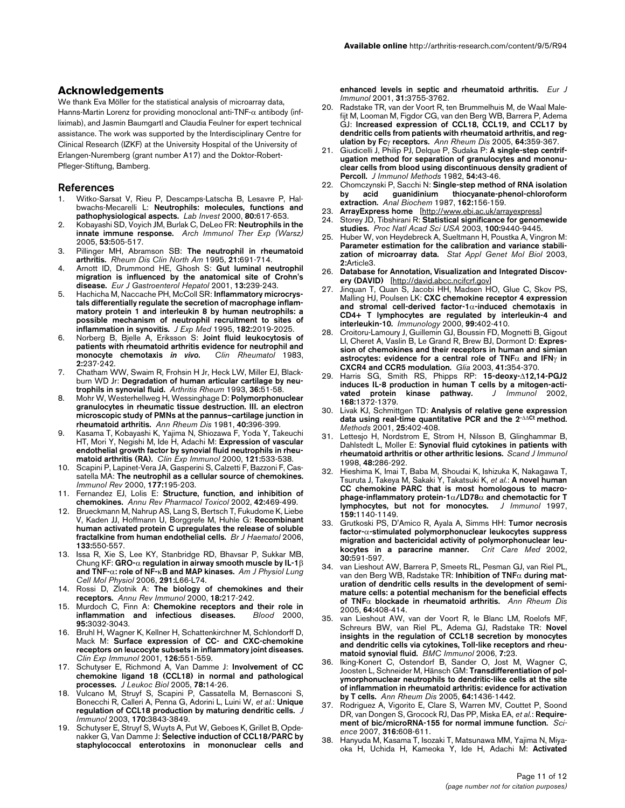## **Acknowledgements**

We thank Eva Möller for the statistical analysis of microarray data, Hanns-Martin Lorenz for providing monoclonal anti-TNF- $\alpha$  antibody (infliximab), and Jasmin Baumgartl and Claudia Feulner for expert technical assistance. The work was supported by the Interdisciplinary Centre for Clinical Research (IZKF) at the University Hospital of the University of Erlangen-Nuremberg (grant number A17) and the Doktor-Robert-Pfleger-Stiftung, Bamberg.

### **References**

- 1. Witko-Sarsat V, Rieu P, Descamps-Latscha B, Lesavre P, Halbwachs-Mecarelli L: **[Neutrophils: molecules, functions and](http://www.ncbi.nlm.nih.gov/entrez/query.fcgi?cmd=Retrieve&db=PubMed&dopt=Abstract&list_uids=10830774) [pathophysiological aspects.](http://www.ncbi.nlm.nih.gov/entrez/query.fcgi?cmd=Retrieve&db=PubMed&dopt=Abstract&list_uids=10830774)** *Lab Invest* 2000, **80:**617-653.
- 2. Kobayashi SD, Voyich JM, Burlak C, DeLeo FR: **[Neutrophils in the](http://www.ncbi.nlm.nih.gov/entrez/query.fcgi?cmd=Retrieve&db=PubMed&dopt=Abstract&list_uids=16407783) [innate immune response.](http://www.ncbi.nlm.nih.gov/entrez/query.fcgi?cmd=Retrieve&db=PubMed&dopt=Abstract&list_uids=16407783)** *Arch Immunol Ther Exp (Warsz)* 2005, **53:**505-517.
- 3. Pillinger MH, Abramson SB: **[The neutrophil in rheumatoid](http://www.ncbi.nlm.nih.gov/entrez/query.fcgi?cmd=Retrieve&db=PubMed&dopt=Abstract&list_uids=8619095) [arthritis.](http://www.ncbi.nlm.nih.gov/entrez/query.fcgi?cmd=Retrieve&db=PubMed&dopt=Abstract&list_uids=8619095)** *Rheum Dis Clin North Am* 1995, **21:**691-714.
- 4. Arnott ID, Drummond HE, Ghosh S: **[Gut luminal neutrophil](http://www.ncbi.nlm.nih.gov/entrez/query.fcgi?cmd=Retrieve&db=PubMed&dopt=Abstract&list_uids=11293442) [migration is influenced by the anatomical site of Crohn's](http://www.ncbi.nlm.nih.gov/entrez/query.fcgi?cmd=Retrieve&db=PubMed&dopt=Abstract&list_uids=11293442) [disease.](http://www.ncbi.nlm.nih.gov/entrez/query.fcgi?cmd=Retrieve&db=PubMed&dopt=Abstract&list_uids=11293442)** *Eur J Gastroenterol Hepatol* 2001, **13:**239-243.
- 5. Hachicha M, Naccache PH, McColl SR: **[Inflammatory microcrys](http://www.ncbi.nlm.nih.gov/entrez/query.fcgi?cmd=Retrieve&db=PubMed&dopt=Abstract&list_uids=7500047)[tals differentially regulate the secretion of macrophage inflam](http://www.ncbi.nlm.nih.gov/entrez/query.fcgi?cmd=Retrieve&db=PubMed&dopt=Abstract&list_uids=7500047)matory protein 1 and interleukin 8 by human neutrophils: a possible mechanism of neutrophil recruitment to sites of [inflammation in synovitis.](http://www.ncbi.nlm.nih.gov/entrez/query.fcgi?cmd=Retrieve&db=PubMed&dopt=Abstract&list_uids=7500047)** *J Exp Med* 1995, **182:**2019-2025.
- 6. Norberg B, Bjelle A, Eriksson S: **Joint fluid leukocytosis of patients with rheumatoid arthritis evidence for neutrophil and** monocyte chemotaxis *in vivo*[.](http://www.ncbi.nlm.nih.gov/entrez/query.fcgi?cmd=Retrieve&db=PubMed&dopt=Abstract&list_uids=6678697) **2:**237-242.
- 7. Chatham WW, Swaim R, Frohsin H Jr, Heck LW, Miller EJ, Blackburn WD Jr: **[Degradation of human articular cartilage by neu](http://www.ncbi.nlm.nih.gov/entrez/query.fcgi?cmd=Retrieve&db=PubMed&dopt=Abstract&list_uids=8424836)[trophils in synovial fluid.](http://www.ncbi.nlm.nih.gov/entrez/query.fcgi?cmd=Retrieve&db=PubMed&dopt=Abstract&list_uids=8424836)** *Arthritis Rheum* 1993, **36:**51-58.
- 8. Mohr W, Westerhellweg H, Wessinghage D: **[Polymorphonuclear](http://www.ncbi.nlm.nih.gov/entrez/query.fcgi?cmd=Retrieve&db=PubMed&dopt=Abstract&list_uids=7259331) [granulocytes in rheumatic tissue destruction. III. an electron](http://www.ncbi.nlm.nih.gov/entrez/query.fcgi?cmd=Retrieve&db=PubMed&dopt=Abstract&list_uids=7259331) microscopic study of PMNs at the pannus–cartilage junction in [rheumatoid arthritis.](http://www.ncbi.nlm.nih.gov/entrez/query.fcgi?cmd=Retrieve&db=PubMed&dopt=Abstract&list_uids=7259331)** *Ann Rheum Dis* 1981, **40:**396-399.
- 9. Kasama T, Kobayashi K, Yajima N, Shiozawa F, Yoda Y, Takeuchi HT, Mori Y, Negishi M, Ide H, Adachi M: **[Expression of vascular](http://www.ncbi.nlm.nih.gov/entrez/query.fcgi?cmd=Retrieve&db=PubMed&dopt=Abstract&list_uids=10971521) [endothelial growth factor by synovial fluid neutrophils in rheu](http://www.ncbi.nlm.nih.gov/entrez/query.fcgi?cmd=Retrieve&db=PubMed&dopt=Abstract&list_uids=10971521)[matoid arthritis \(RA\).](http://www.ncbi.nlm.nih.gov/entrez/query.fcgi?cmd=Retrieve&db=PubMed&dopt=Abstract&list_uids=10971521)** *Clin Exp Immunol* 2000, **121:**533-538.
- 10. Scapini P, Lapinet-Vera JA, Gasperini S, Calzetti F, Bazzoni F, Cassatella MA: **[The neutrophil as a cellular source of chemokines.](http://www.ncbi.nlm.nih.gov/entrez/query.fcgi?cmd=Retrieve&db=PubMed&dopt=Abstract&list_uids=11138776)** *Immunol Rev* 2000, **177:**195-203.
- 11. Fernandez EJ, Lolis E: **[Structure, function, and inhibition of](http://www.ncbi.nlm.nih.gov/entrez/query.fcgi?cmd=Retrieve&db=PubMed&dopt=Abstract&list_uids=11807180) [chemokines.](http://www.ncbi.nlm.nih.gov/entrez/query.fcgi?cmd=Retrieve&db=PubMed&dopt=Abstract&list_uids=11807180)** *Annu Rev Pharmacol Toxicol* 2002, **42:**469-499.
- Brueckmann M, Nahrup AS, Lang S, Bertsch T, Fukudome K, Liebe V, Kaden JJ, Hoffmann U, Borggrefe M, Huhle G: **[Recombinant](http://www.ncbi.nlm.nih.gov/entrez/query.fcgi?cmd=Retrieve&db=PubMed&dopt=Abstract&list_uids=16681644) [human activated protein C upregulates the release of soluble](http://www.ncbi.nlm.nih.gov/entrez/query.fcgi?cmd=Retrieve&db=PubMed&dopt=Abstract&list_uids=16681644) [fractalkine from human endothelial cells.](http://www.ncbi.nlm.nih.gov/entrez/query.fcgi?cmd=Retrieve&db=PubMed&dopt=Abstract&list_uids=16681644)** *Br J Haematol* 2006, **133:**550-557.
- 13. Issa R, Xie S, Lee KY, Stanbridge RD, Bhavsar P, Sukkar MB, Chung KF: **GRO-**α **regulation in airway smooth muscle by IL-1**β **and TNF-**α**: role of NF-**κ**[B and MAP kinases.](http://www.ncbi.nlm.nih.gov/entrez/query.fcgi?cmd=Retrieve&db=PubMed&dopt=Abstract&list_uids=16617094)** *Am J Physiol Lung Cell Mol Physiol* 2006, **291:**L66-L74.
- 14. Rossi D, Zlotnik A: **[The biology of chemokines and their](http://www.ncbi.nlm.nih.gov/entrez/query.fcgi?cmd=Retrieve&db=PubMed&dopt=Abstract&list_uids=10837058) [receptors.](http://www.ncbi.nlm.nih.gov/entrez/query.fcgi?cmd=Retrieve&db=PubMed&dopt=Abstract&list_uids=10837058)** *Annu Rev Immunol* 2000, **18:**217-242.
- 15. Murdoch C, Finn A: **[Chemokine receptors and their role in](http://www.ncbi.nlm.nih.gov/entrez/query.fcgi?cmd=Retrieve&db=PubMed&dopt=Abstract&list_uids=10807766) [inflammation and infectious diseases.](http://www.ncbi.nlm.nih.gov/entrez/query.fcgi?cmd=Retrieve&db=PubMed&dopt=Abstract&list_uids=10807766)** *Blood* 2000, **95:**3032-3043.
- 16. Bruhl H, Wagner K, Kellner H, Schattenkirchner M, Schlondorff D, Mack M: **[Surface expression of CC- and CXC-chemokine](http://www.ncbi.nlm.nih.gov/entrez/query.fcgi?cmd=Retrieve&db=PubMed&dopt=Abstract&list_uids=11737076) [receptors on leucocyte subsets in inflammatory joint diseases.](http://www.ncbi.nlm.nih.gov/entrez/query.fcgi?cmd=Retrieve&db=PubMed&dopt=Abstract&list_uids=11737076)** *Clin Exp Immunol* 2001, **126:**551-559.
- 17. Schutyser E, Richmond A, Van Damme J: **[Involvement of CC](http://www.ncbi.nlm.nih.gov/entrez/query.fcgi?cmd=Retrieve&db=PubMed&dopt=Abstract&list_uids=15784687) [chemokine ligand 18 \(CCL18\) in normal and pathological](http://www.ncbi.nlm.nih.gov/entrez/query.fcgi?cmd=Retrieve&db=PubMed&dopt=Abstract&list_uids=15784687) [processes.](http://www.ncbi.nlm.nih.gov/entrez/query.fcgi?cmd=Retrieve&db=PubMed&dopt=Abstract&list_uids=15784687)** *J Leukoc Biol* 2005, **78:**14-26.
- 18. Vulcano M, Struyf S, Scapini P, Cassatella M, Bernasconi S, Bonecchi R, Calleri A, Penna G, Adorini L, Luini W, *et al.*: **[Unique](http://www.ncbi.nlm.nih.gov/entrez/query.fcgi?cmd=Retrieve&db=PubMed&dopt=Abstract&list_uids=12646652) [regulation of CCL18 production by maturing dendritic cells.](http://www.ncbi.nlm.nih.gov/entrez/query.fcgi?cmd=Retrieve&db=PubMed&dopt=Abstract&list_uids=12646652)** *J Immunol* 2003, **170:**3843-3849.
- 19. Schutyser E, Struyf S, Wuyts A, Put W, Geboes K, Grillet B, Opdenakker G, Van Damme J: **[Selective induction of CCL18/PARC by](http://www.ncbi.nlm.nih.gov/entrez/query.fcgi?cmd=Retrieve&db=PubMed&dopt=Abstract&list_uids=11745396) [staphylococcal enterotoxins in mononuclear cells and](http://www.ncbi.nlm.nih.gov/entrez/query.fcgi?cmd=Retrieve&db=PubMed&dopt=Abstract&list_uids=11745396)**

**[enhanced levels in septic and rheumatoid arthritis.](http://www.ncbi.nlm.nih.gov/entrez/query.fcgi?cmd=Retrieve&db=PubMed&dopt=Abstract&list_uids=11745396)** *Eur J Immunol* 2001, **31:**3755-3762.

- 20. Radstake TR, van der Voort R, ten Brummelhuis M, de Waal Malefijt M, Looman M, Figdor CG, van den Berg WB, Barrera P, Adema GJ: **Increased expression of CCL18, CCL19, and CCL17 by dendritic cells from patients with rheumatoid arthritis, and regulation by Fc**γ **[receptors.](http://www.ncbi.nlm.nih.gov/entrez/query.fcgi?cmd=Retrieve&db=PubMed&dopt=Abstract&list_uids=15331393)** *Ann Rheum Dis* 2005, **64:**359-367.
- 21. Giudicelli J, Philip PJ, Delque P, Sudaka P: **[A single-step centrif](http://www.ncbi.nlm.nih.gov/entrez/query.fcgi?cmd=Retrieve&db=PubMed&dopt=Abstract&list_uids=6292307)ugation method for separation of granulocytes and mononu[clear cells from blood using discontinuous density gradient of](http://www.ncbi.nlm.nih.gov/entrez/query.fcgi?cmd=Retrieve&db=PubMed&dopt=Abstract&list_uids=6292307) [Percoll.](http://www.ncbi.nlm.nih.gov/entrez/query.fcgi?cmd=Retrieve&db=PubMed&dopt=Abstract&list_uids=6292307)** *J Immunol Methods* 1982, **54:**43-46.
- 22. Chomczynski P, Sacchi N: **[Single-step method of RNA isolation](http://www.ncbi.nlm.nih.gov/entrez/query.fcgi?cmd=Retrieve&db=PubMed&dopt=Abstract&list_uids=2440339) [by acid guanidinium thiocyanate-phenol-chloroform](http://www.ncbi.nlm.nih.gov/entrez/query.fcgi?cmd=Retrieve&db=PubMed&dopt=Abstract&list_uids=2440339) [extraction.](http://www.ncbi.nlm.nih.gov/entrez/query.fcgi?cmd=Retrieve&db=PubMed&dopt=Abstract&list_uids=2440339)** *Anal Biochem* 1987, **162:**156-159.
- 23. **ArrayExpress home** [<http://www.ebi.ac.uk/arrayexpress>]
- Storey JD, Tibshirani R: [Statistical significance for genomewide](http://www.ncbi.nlm.nih.gov/entrez/query.fcgi?cmd=Retrieve&db=PubMed&dopt=Abstract&list_uids=12883005) **[studies.](http://www.ncbi.nlm.nih.gov/entrez/query.fcgi?cmd=Retrieve&db=PubMed&dopt=Abstract&list_uids=12883005)** *Proc Natl Acad Sci USA* 2003, **100:**9440-9445.
- 25. Huber W, von Heydebreck A, Sueltmann H, Poustka A, Vingron M: **[Parameter estimation for the calibration and variance stabili](http://www.ncbi.nlm.nih.gov/entrez/query.fcgi?cmd=Retrieve&db=PubMed&dopt=Abstract&list_uids=16646781)[zation of microarray data.](http://www.ncbi.nlm.nih.gov/entrez/query.fcgi?cmd=Retrieve&db=PubMed&dopt=Abstract&list_uids=16646781)** *Stat Appl Genet Mol Biol* 2003, **2:**Article3.
- 26. **Database for Annotation, Visualization and Integrated Discovery (DAVID)** [[http://david.abcc.ncifcrf.gov\]](http://david.abcc.ncifcrf.gov)
- 27. Jinquan T, Quan S, Jacobi HH, Madsen HO, Glue C, Skov PS, Malling HJ, Poulsen LK: **CXC chemokine receptor 4 expression and stromal cell-derived factor-1**α**[-induced chemotaxis in](http://www.ncbi.nlm.nih.gov/entrez/query.fcgi?cmd=Retrieve&db=PubMed&dopt=Abstract&list_uids=10712670) [CD4+ T lymphocytes are regulated by interleukin-4 and](http://www.ncbi.nlm.nih.gov/entrez/query.fcgi?cmd=Retrieve&db=PubMed&dopt=Abstract&list_uids=10712670) [interleukin-10.](http://www.ncbi.nlm.nih.gov/entrez/query.fcgi?cmd=Retrieve&db=PubMed&dopt=Abstract&list_uids=10712670)** *Immunology* 2000, **99:**402-410.
- 28. Croitoru-Lamoury J, Guillemin GJ, Boussin FD, Mognetti B, Gigout LI, Cheret A, Vaslin B, Le Grand R, Brew BJ, Dormont D: **Expression of chemokines and their receptors in human and simian astrocytes: evidence for a central role of TNF**α **and IFN**γ **[in](http://www.ncbi.nlm.nih.gov/entrez/query.fcgi?cmd=Retrieve&db=PubMed&dopt=Abstract&list_uids=12555203) [CXCR4 and CCR5 modulation.](http://www.ncbi.nlm.nih.gov/entrez/query.fcgi?cmd=Retrieve&db=PubMed&dopt=Abstract&list_uids=12555203)** *Glia* 2003, **41:**354-370.
- 29. Harris SG, Smith RS, Phipps RP: **15-deoxy-**Δ**[12,14-PGJ2](http://www.ncbi.nlm.nih.gov/entrez/query.fcgi?cmd=Retrieve&db=PubMed&dopt=Abstract&list_uids=11801678) [induces IL-8 production in human T cells by a mitogen-acti](http://www.ncbi.nlm.nih.gov/entrez/query.fcgi?cmd=Retrieve&db=PubMed&dopt=Abstract&list_uids=11801678)**[vated protein kinase pathway.](http://www.ncbi.nlm.nih.gov/entrez/query.fcgi?cmd=Retrieve&db=PubMed&dopt=Abstract&list_uids=11801678) **168:**1372-1379.
- 30. Livak KJ, Schmittgen TD: **Analysis of relative gene expression data using real-time quantitative PCR and the 2-**ΔΔ**Ct [method.](http://www.ncbi.nlm.nih.gov/entrez/query.fcgi?cmd=Retrieve&db=PubMed&dopt=Abstract&list_uids=11846609)** *Methods* 2001, **25:**402-408.
- 31. Lettesjo H, Nordstrom E, Strom H, Nilsson B, Glinghammar B, Dahlstedt L, Moller E: **[Synovial fluid cytokines in patients with](http://www.ncbi.nlm.nih.gov/entrez/query.fcgi?cmd=Retrieve&db=PubMed&dopt=Abstract&list_uids=9743215) [rheumatoid arthritis or other arthritic lesions.](http://www.ncbi.nlm.nih.gov/entrez/query.fcgi?cmd=Retrieve&db=PubMed&dopt=Abstract&list_uids=9743215)** *Scand J Immunol* 1998, **48:**286-292.
- 32. Hieshima K, Imai T, Baba M, Shoudai K, Ishizuka K, Nakagawa T, Tsuruta J, Takeya M, Sakaki Y, Takatsuki K, *et al.*: **A novel human CC chemokine PARC that is most homologous to macrophage-inflammatory protein-1**α**/LD78**α **[and chemotactic for T](http://www.ncbi.nlm.nih.gov/entrez/query.fcgi?cmd=Retrieve&db=PubMed&dopt=Abstract&list_uids=9233607) [lymphocytes, but not for monocytes.](http://www.ncbi.nlm.nih.gov/entrez/query.fcgi?cmd=Retrieve&db=PubMed&dopt=Abstract&list_uids=9233607)** *J Immunol* 1997, **159:**1140-1149.
- 33. Grutkoski PS, D'Amico R, Ayala A, Simms HH: **Tumor necrosis factor-**α**[-stimulated polymorphonuclear leukocytes suppress](http://www.ncbi.nlm.nih.gov/entrez/query.fcgi?cmd=Retrieve&db=PubMed&dopt=Abstract&list_uids=11990921)** migration and bactericidal activity of polymorphonuclear leu-<br>kocytes in a paracrine manner. Crit Care Med 2002, [kocytes in a paracrine manner.](http://www.ncbi.nlm.nih.gov/entrez/query.fcgi?cmd=Retrieve&db=PubMed&dopt=Abstract&list_uids=11990921) **30:**591-597.
- 34. van Lieshout AW, Barrera P, Smeets RL, Pesman GJ, van Riel PL, van den Berg WB, Radstake TR: **Inhibition of TNF**α **during maturation of dendritic cells results in the development of semimature cells: a potential mechanism for the beneficial effects of TNF**α **[blockade in rheumatoid arthritis.](http://www.ncbi.nlm.nih.gov/entrez/query.fcgi?cmd=Retrieve&db=PubMed&dopt=Abstract&list_uids=15256380)** *Ann Rheum Dis* 2005, **64:**408-414.
- 35. van Lieshout AW, van der Voort R, le Blanc LM, Roelofs MF, Schreurs BW, van Riel PL, Adema GJ, Radstake TR: **[Novel](http://www.ncbi.nlm.nih.gov/entrez/query.fcgi?cmd=Retrieve&db=PubMed&dopt=Abstract&list_uids=16984635) [insights in the regulation of CCL18 secretion by monocytes](http://www.ncbi.nlm.nih.gov/entrez/query.fcgi?cmd=Retrieve&db=PubMed&dopt=Abstract&list_uids=16984635) and dendritic cells via cytokines, Toll-like receptors and rheu[matoid synovial fluid.](http://www.ncbi.nlm.nih.gov/entrez/query.fcgi?cmd=Retrieve&db=PubMed&dopt=Abstract&list_uids=16984635)** *BMC Immunol* 2006, **7:**23.
- Iking-Konert C, Ostendorf B, Sander O, Jost M, Wagner C, Joosten L, Schneider M, Hänsch GM: **[Transdifferentiation of pol](http://www.ncbi.nlm.nih.gov/entrez/query.fcgi?cmd=Retrieve&db=PubMed&dopt=Abstract&list_uids=15778239)[ymorphonuclear neutrophils to dendritic-like cells at the site](http://www.ncbi.nlm.nih.gov/entrez/query.fcgi?cmd=Retrieve&db=PubMed&dopt=Abstract&list_uids=15778239) of inflammation in rheumatoid arthritis: evidence for activation [by T cells.](http://www.ncbi.nlm.nih.gov/entrez/query.fcgi?cmd=Retrieve&db=PubMed&dopt=Abstract&list_uids=15778239)** *Ann Rheum Dis* 2005, **64:**1436-1442.
- 37. Rodriguez A, Vigorito E, Clare S, Warren MV, Couttet P, Soond DR, van Dongen S, Grocock RJ, Das PP, Miska EA, *et al.*: **[Require](http://www.ncbi.nlm.nih.gov/entrez/query.fcgi?cmd=Retrieve&db=PubMed&dopt=Abstract&list_uids=17463290)[ment of bic/microRNA-155 for normal immune function.](http://www.ncbi.nlm.nih.gov/entrez/query.fcgi?cmd=Retrieve&db=PubMed&dopt=Abstract&list_uids=17463290)** *Science* 2007, **316:**608-611.
- 38. Hanyuda M, Kasama T, Isozaki T, Matsunawa MM, Yajima N, Miyaoka H, Uchida H, Kameoka Y, Ide H, Adachi M: **Activated**